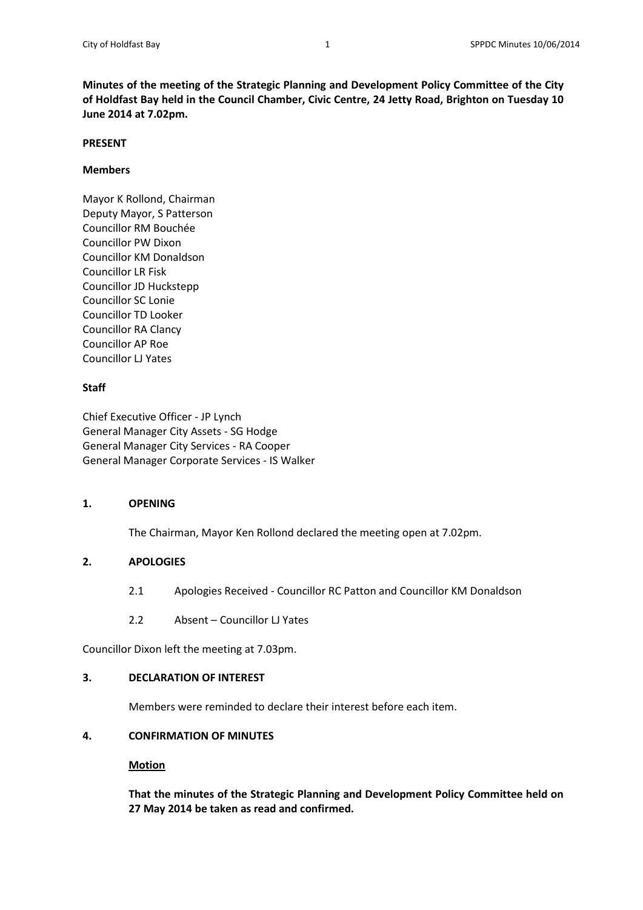**Minutes of the meeting of the Strategic Planning and Development Policy Committee of the City of Holdfast Bay held in the Council Chamber, Civic Centre, 24 Jetty Road, Brighton on Tuesday 10 June 2014 at 7.02pm.**

#### **PRESENT**

## **Members**

Mayor K Rollond, Chairman Deputy Mayor, S Patterson Councillor RM Bouchée Councillor PW Dixon Councillor KM Donaldson Councillor LR Fisk Councillor JD Huckstepp Councillor SC Lonie Councillor TD Looker Councillor RA Clancy Councillor AP Roe Councillor LJ Yates

# **Staff**

Chief Executive Officer - JP Lynch General Manager City Assets - SG Hodge General Manager City Services - RA Cooper General Manager Corporate Services - IS Walker

# **1. OPENING**

The Chairman, Mayor Ken Rollond declared the meeting open at 7.02pm.

# **2. APOLOGIES**

- 2.1 Apologies Received Councillor RC Patton and Councillor KM Donaldson
- 2.2 Absent Councillor LJ Yates

Councillor Dixon left the meeting at 7.03pm.

#### **3. DECLARATION OF INTEREST**

Members were reminded to declare their interest before each item.

# **4. CONFIRMATION OF MINUTES**

# **Motion**

**That the minutes of the Strategic Planning and Development Policy Committee held on 27 May 2014 be taken as read and confirmed.**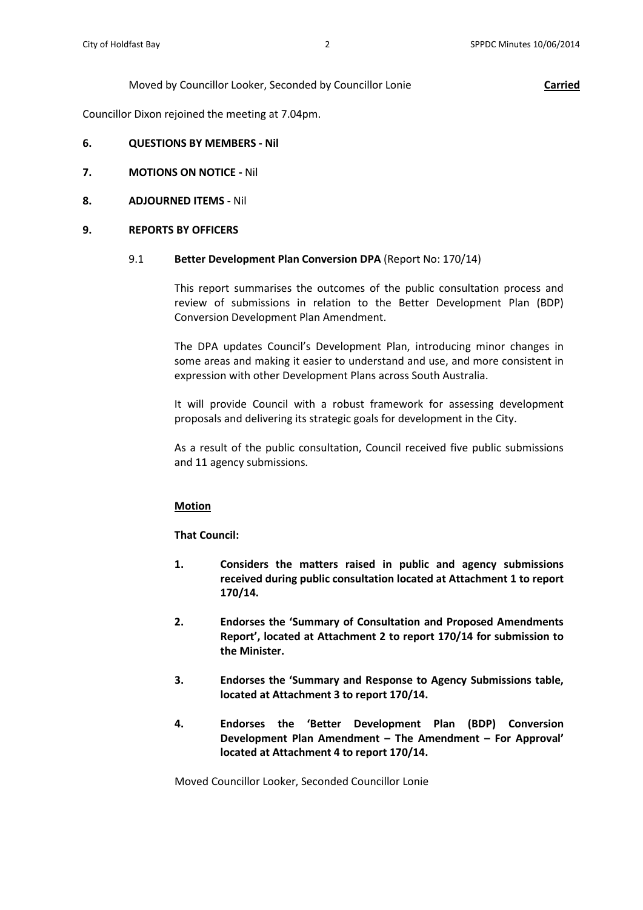### Moved by Councillor Looker, Seconded by Councillor Lonie **Carried**

Councillor Dixon rejoined the meeting at 7.04pm.

- **6. QUESTIONS BY MEMBERS - Nil**
- **7. MOTIONS ON NOTICE -** Nil

### **8. ADJOURNED ITEMS -** Nil

### **9. REPORTS BY OFFICERS**

#### 9.1 **Better Development Plan Conversion DPA** (Report No: 170/14)

This report summarises the outcomes of the public consultation process and review of submissions in relation to the Better Development Plan (BDP) Conversion Development Plan Amendment.

The DPA updates Council's Development Plan, introducing minor changes in some areas and making it easier to understand and use, and more consistent in expression with other Development Plans across South Australia.

It will provide Council with a robust framework for assessing development proposals and delivering its strategic goals for development in the City.

As a result of the public consultation, Council received five public submissions and 11 agency submissions.

# **Motion**

# **That Council:**

- **1. Considers the matters raised in public and agency submissions received during public consultation located at Attachment 1 to report 170/14.**
- **2. Endorses the 'Summary of Consultation and Proposed Amendments Report', located at Attachment 2 to report 170/14 for submission to the Minister.**
- **3. Endorses the 'Summary and Response to Agency Submissions table, located at Attachment 3 to report 170/14.**
- **4. Endorses the 'Better Development Plan (BDP) Conversion Development Plan Amendment – The Amendment – For Approval' located at Attachment 4 to report 170/14.**

Moved Councillor Looker, Seconded Councillor Lonie